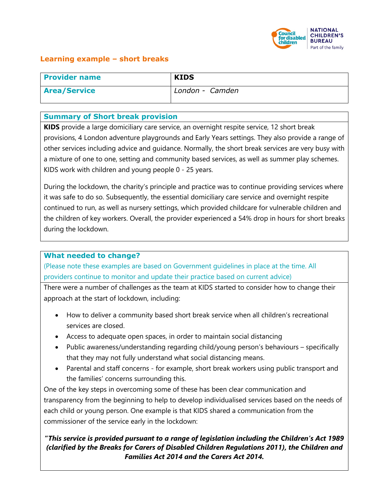

## **Learning example – short breaks**

| <b>Provider name</b> | <b>KIDS</b>     |
|----------------------|-----------------|
| <b>Area/Service</b>  | London - Camden |

#### **Summary of Short break provision**

**KIDS** provide a large domiciliary care service, an overnight respite service, 12 short break provisions, 4 London adventure playgrounds and Early Years settings. They also provide a range of other services including advice and guidance. Normally, the short break services are very busy with a mixture of one to one, setting and community based services, as well as summer play schemes. KIDS work with children and young people 0 - 25 years.

During the lockdown, the charity's principle and practice was to continue providing services where it was safe to do so. Subsequently, the essential domiciliary care service and overnight respite continued to run, as well as nursery settings, which provided childcare for vulnerable children and the children of key workers. Overall, the provider experienced a 54% drop in hours for short breaks during the lockdown.

### **What needed to change?**

(Please note these examples are based on Government guidelines in place at the time. All providers continue to monitor and update their practice based on current advice)

There were a number of challenges as the team at KIDS started to consider how to change their approach at the start of lockdown, including:

- How to deliver a community based short break service when all children's recreational services are closed.
- Access to adequate open spaces, in order to maintain social distancing
- Public awareness/understanding regarding child/young person's behaviours specifically that they may not fully understand what social distancing means.
- Parental and staff concerns for example, short break workers using public transport and the families' concerns surrounding this.

One of the key steps in overcoming some of these has been clear communication and transparency from the beginning to help to develop individualised services based on the needs of each child or young person. One example is that KIDS shared a communication from the commissioner of the service early in the lockdown:

# **"***This service is provided pursuant to a range of legislation including the Children's Act 1989 (clarified by the Breaks for Carers of Disabled Children Regulations 2011), the Children and Families Act 2014 and the Carers Act 2014.*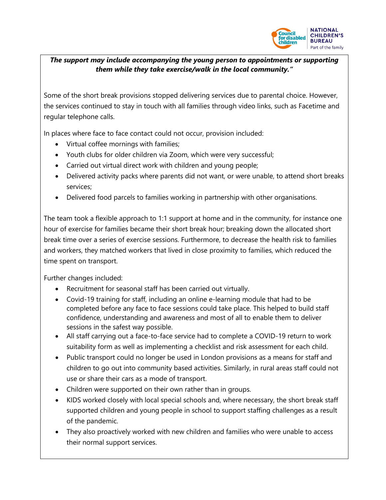

### *The support may include accompanying the young person to appointments or supporting them while they take exercise/walk in the local community."*

Some of the short break provisions stopped delivering services due to parental choice. However, the services continued to stay in touch with all families through video links, such as Facetime and regular telephone calls.

In places where face to face contact could not occur, provision included:

- Virtual coffee mornings with families;
- Youth clubs for older children via Zoom, which were very successful;
- Carried out virtual direct work with children and young people;
- Delivered activity packs where parents did not want, or were unable, to attend short breaks services;
- Delivered food parcels to families working in partnership with other organisations.

The team took a flexible approach to 1:1 support at home and in the community, for instance one hour of exercise for families became their short break hour; breaking down the allocated short break time over a series of exercise sessions. Furthermore, to decrease the health risk to families and workers, they matched workers that lived in close proximity to families, which reduced the time spent on transport.

Further changes included:

- Recruitment for seasonal staff has been carried out virtually.
- Covid-19 training for staff, including an online e-learning module that had to be completed before any face to face sessions could take place. This helped to build staff confidence, understanding and awareness and most of all to enable them to deliver sessions in the safest way possible.
- All staff carrying out a face-to-face service had to complete a COVID-19 return to work suitability form as well as implementing a checklist and risk assessment for each child.
- Public transport could no longer be used in London provisions as a means for staff and children to go out into community based activities. Similarly, in rural areas staff could not use or share their cars as a mode of transport.
- Children were supported on their own rather than in groups.
- KIDS worked closely with local special schools and, where necessary, the short break staff supported children and young people in school to support staffing challenges as a result of the pandemic.
- They also proactively worked with new children and families who were unable to access their normal support services.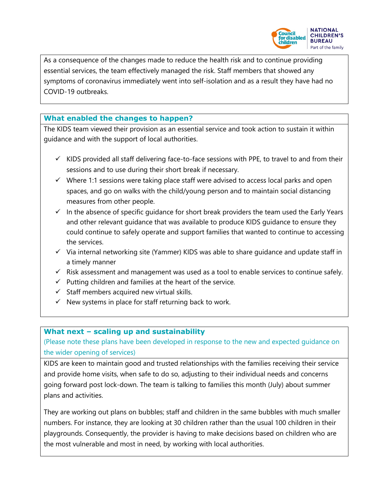

As a consequence of the changes made to reduce the health risk and to continue providing essential services, the team effectively managed the risk. Staff members that showed any symptoms of coronavirus immediately went into self-isolation and as a result they have had no COVID-19 outbreaks.

## **What enabled the changes to happen?**

The KIDS team viewed their provision as an essential service and took action to sustain it within guidance and with the support of local authorities.

- $\checkmark$  KIDS provided all staff delivering face-to-face sessions with PPE, to travel to and from their sessions and to use during their short break if necessary.
- $\checkmark$  Where 1:1 sessions were taking place staff were advised to access local parks and open spaces, and go on walks with the child/young person and to maintain social distancing measures from other people.
- $\checkmark$  In the absence of specific guidance for short break providers the team used the Early Years and other relevant guidance that was available to produce KIDS guidance to ensure they could continue to safely operate and support families that wanted to continue to accessing the services.
- $\checkmark$  Via internal networking site (Yammer) KIDS was able to share guidance and update staff in a timely manner
- $\checkmark$  Risk assessment and management was used as a tool to enable services to continue safely.
- $\checkmark$  Putting children and families at the heart of the service.
- $\checkmark$  Staff members acquired new virtual skills.
- $\checkmark$  New systems in place for staff returning back to work.

# **What next – scaling up and sustainability**

(Please note these plans have been developed in response to the new and expected guidance on the wider opening of services)

KIDS are keen to maintain good and trusted relationships with the families receiving their service and provide home visits, when safe to do so, adjusting to their individual needs and concerns going forward post lock-down. The team is talking to families this month (July) about summer plans and activities.

They are working out plans on bubbles; staff and children in the same bubbles with much smaller numbers. For instance, they are looking at 30 children rather than the usual 100 children in their playgrounds. Consequently, the provider is having to make decisions based on children who are the most vulnerable and most in need, by working with local authorities.